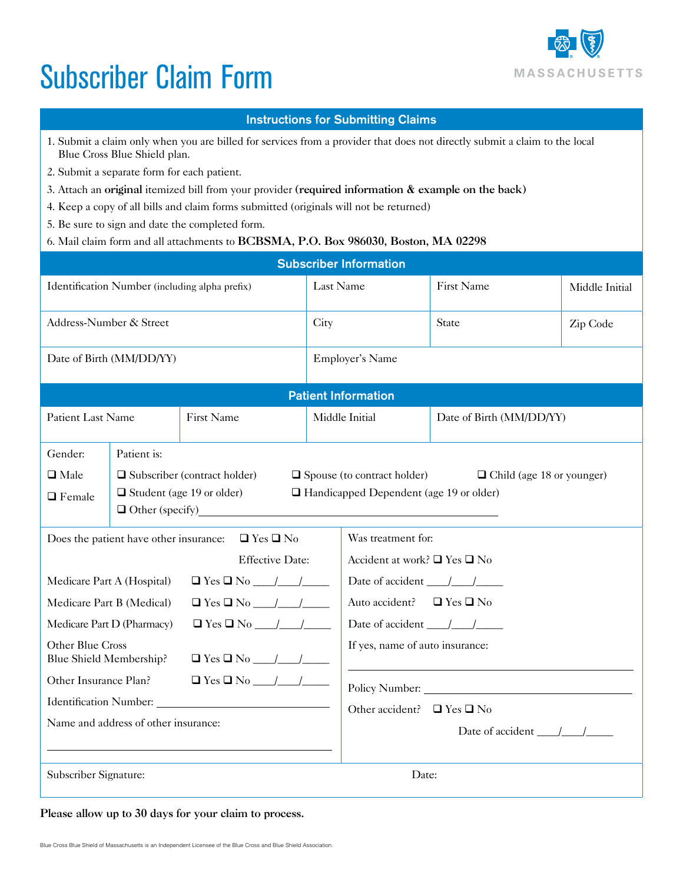## Subscriber Claim Form



## Instructions for Submitting Claims

- 1. Submit a claim only when you are billed for services from a provider that does not directly submit a claim to the local Blue Cross Blue Shield plan.
- 2. Submit a separate form for each patient.
- 3. Attach an original itemized bill from your provider (required information & example on the back)
- 4. Keep a copy of all bills and claim forms submitted (originals will not be returned)
- 5. Be sure to sign and date the completed form.
- 6. Mail claim form and all attachments to BCBSMA, P.O. Box 986030, Boston, MA 02298

| <b>Subscriber Information</b>                                                         |                                                                                                                                                                                                                               |            |                |                                                              |                          |                |  |  |  |
|---------------------------------------------------------------------------------------|-------------------------------------------------------------------------------------------------------------------------------------------------------------------------------------------------------------------------------|------------|----------------|--------------------------------------------------------------|--------------------------|----------------|--|--|--|
| Identification Number (including alpha prefix)                                        |                                                                                                                                                                                                                               |            | Last Name      |                                                              | First Name               | Middle Initial |  |  |  |
| Address-Number & Street                                                               |                                                                                                                                                                                                                               |            | City           |                                                              | State                    | Zip Code       |  |  |  |
| Date of Birth (MM/DD/YY)                                                              |                                                                                                                                                                                                                               |            |                | Employer's Name                                              |                          |                |  |  |  |
| <b>Patient Information</b>                                                            |                                                                                                                                                                                                                               |            |                |                                                              |                          |                |  |  |  |
| Patient Last Name                                                                     |                                                                                                                                                                                                                               | First Name | Middle Initial |                                                              | Date of Birth (MM/DD/YY) |                |  |  |  |
| Gender:                                                                               | Patient is:                                                                                                                                                                                                                   |            |                |                                                              |                          |                |  |  |  |
| $\Box$ Male<br>$\Box$ Female                                                          | $\Box$ Subscriber (contract holder)<br>$\Box$ Spouse (to contract holder)<br>$\Box$ Child (age 18 or younger)<br>$\Box$ Student (age 19 or older)<br>$\Box$ Handicapped Dependent (age 19 or older)<br>$\Box$ Other (specify) |            |                |                                                              |                          |                |  |  |  |
| Does the patient have other insurance: $\Box$ Yes $\Box$ No<br><b>Effective Date:</b> |                                                                                                                                                                                                                               |            |                | Was treatment for:<br>Accident at work? $\Box$ Yes $\Box$ No |                          |                |  |  |  |
| Medicare Part A (Hospital)                                                            |                                                                                                                                                                                                                               |            |                |                                                              |                          |                |  |  |  |
| Medicare Part B (Medical)                                                             |                                                                                                                                                                                                                               |            |                | Auto accident? $\Box$ Yes $\Box$ No                          |                          |                |  |  |  |
| Medicare Part D (Pharmacy)                                                            |                                                                                                                                                                                                                               |            |                | Date of accident $\frac{1}{\sqrt{1-\frac{1}{2}}}$            |                          |                |  |  |  |
| Other Blue Cross<br>Blue Shield Membership?                                           |                                                                                                                                                                                                                               |            |                | If yes, name of auto insurance:                              |                          |                |  |  |  |
| $\Box$ Yes $\Box$ No $\Box$ /<br>Other Insurance Plan?                                |                                                                                                                                                                                                                               |            |                |                                                              | Policy Number:           |                |  |  |  |
|                                                                                       |                                                                                                                                                                                                                               |            |                | Other accident? $\Box$ Yes $\Box$ No                         |                          |                |  |  |  |
| Name and address of other insurance:                                                  |                                                                                                                                                                                                                               |            |                | Date of accident $\frac{1}{\sqrt{2}}$                        |                          |                |  |  |  |
| Subscriber Signature:                                                                 |                                                                                                                                                                                                                               |            |                | Date:                                                        |                          |                |  |  |  |

## Please allow up to 30 days for your claim to process.